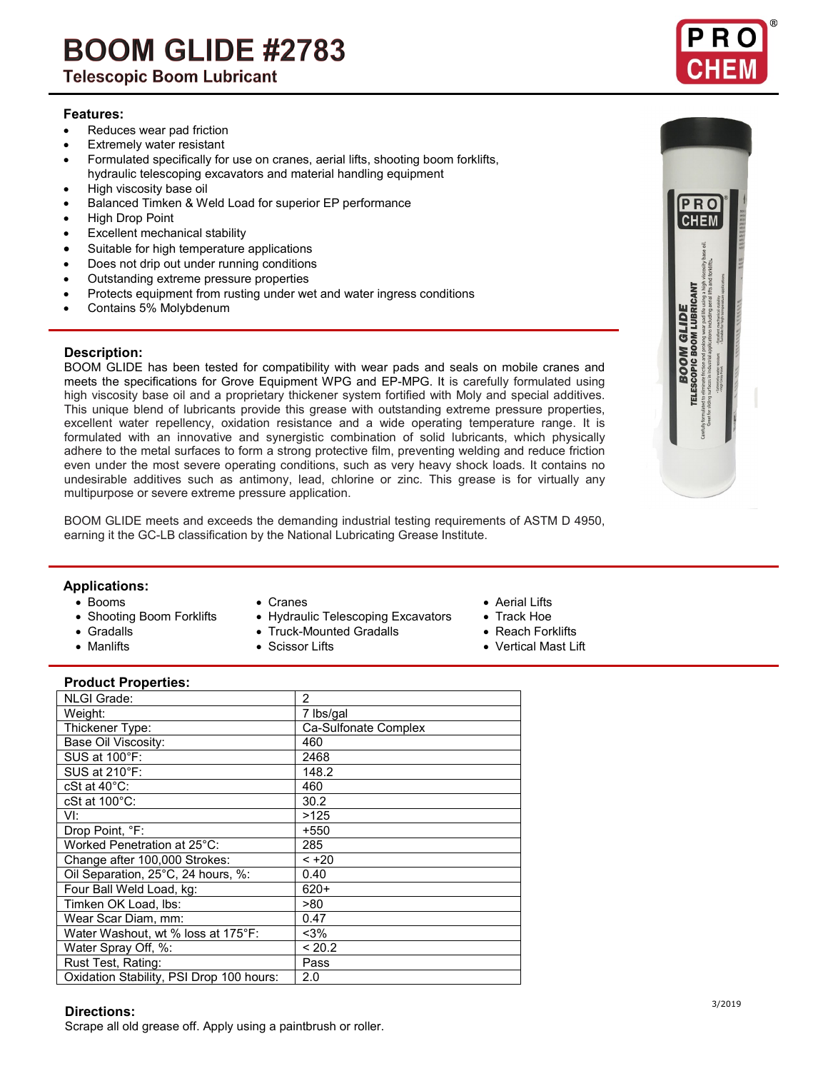# **BOOM GLIDE #2783**

**Telescopic Boom Lubricant** 

#### **Features:**

- Reduces wear pad friction
- **Extremely water resistant**
- Formulated specifically for use on cranes, aerial lifts, shooting boom forklifts, hydraulic telescoping excavators and material handling equipment
- High viscosity base oil
- Balanced Timken & Weld Load for superior EP performance
- High Drop Point
- Excellent mechanical stability
- Suitable for high temperature applications
- Does not drip out under running conditions
- Outstanding extreme pressure properties
- Protects equipment from rusting under wet and water ingress conditions
- Contains 5% Molybdenum

#### **Description:**

BOOM GLIDE has been tested for compatibility with wear pads and seals on mobile cranes and meets the specifications for Grove Equipment WPG and EP-MPG. It is carefully formulated using high viscosity base oil and a proprietary thickener system fortified with Moly and special additives. This unique blend of lubricants provide this grease with outstanding extreme pressure properties, excellent water repellency, oxidation resistance and a wide operating temperature range. It is formulated with an innovative and synergistic combination of solid lubricants, which physically adhere to the metal surfaces to form a strong protective film, preventing welding and reduce friction even under the most severe operating conditions, such as very heavy shock loads. It contains no undesirable additives such as antimony, lead, chlorine or zinc. This grease is for virtually any multipurpose or severe extreme pressure application.

BOOM GLIDE meets and exceeds the demanding industrial testing requirements of ASTM D 4950, earning it the GC-LB classification by the National Lubricating Grease Institute.

## **Applications:**

- 
- 
- 
- Booms Cranes Aerial Lifts • Shooting Boom Forklifts • Hydraulic Telescoping Excavators • Track Hoe<br>• Gradalls • Truck-Mounted Gradalls • Reach Forklifts
	- Truck-Mounted Gradalls

- 
- 
- -
	-
- Manlifts Scissor Lifts Vertical Mast Lift

#### **Product Properties:**

| 2                    |
|----------------------|
| 7 lbs/gal            |
| Ca-Sulfonate Complex |
| 460                  |
| 2468                 |
| 148.2                |
| 460                  |
| 30.2                 |
| >125                 |
| $+550$               |
| 285                  |
| $< +20$              |
| 0.40                 |
| $620+$               |
| >80                  |
| 0.47                 |
| $<$ 3%               |
| < 20.2               |
| Pass                 |
| 2.0                  |
|                      |

#### **Directions:**

**Directions.**<br>Scrape all old grease off. Apply using a paintbrush or roller.